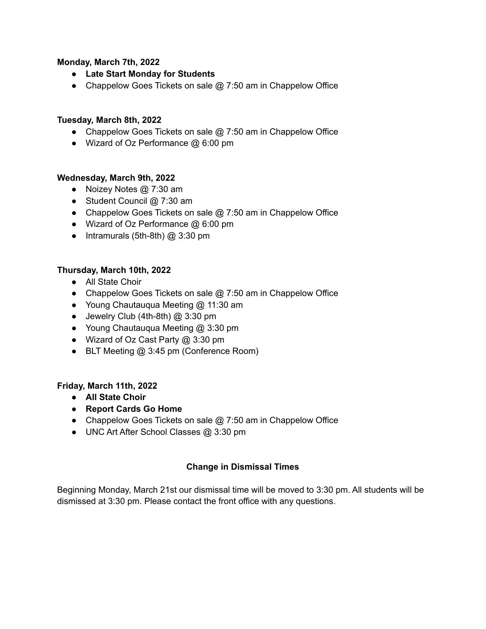### **Monday, March 7th, 2022**

- **● Late Start Monday for Students**
- Chappelow Goes Tickets on sale @ 7:50 am in Chappelow Office

### **Tuesday, March 8th, 2022**

- **●** Chappelow Goes Tickets on sale @ 7:50 am in Chappelow Office
- Wizard of Oz Performance @ 6:00 pm

### **Wednesday, March 9th, 2022**

- Noizey Notes @ 7:30 am
- Student Council @ 7:30 am
- Chappelow Goes Tickets on sale @ 7:50 am in Chappelow Office
- Wizard of Oz Performance @ 6:00 pm
- Intramurals (5th-8th) @ 3:30 pm

## **Thursday, March 10th, 2022**

- All State Choir
- **●** Chappelow Goes Tickets on sale @ 7:50 am in Chappelow Office
- Young Chautauqua Meeting @ 11:30 am
- $\bullet$  Jewelry Club (4th-8th)  $@3:30 \text{ pm}$
- Young Chautauqua Meeting @ 3:30 pm
- Wizard of Oz Cast Party @ 3:30 pm
- BLT Meeting @ 3:45 pm (Conference Room)

### **Friday, March 11th, 2022**

- **● All State Choir**
- **● Report Cards Go Home**
- **●** Chappelow Goes Tickets on sale @ 7:50 am in Chappelow Office
- UNC Art After School Classes @ 3:30 pm

# **Change in Dismissal Times**

Beginning Monday, March 21st our dismissal time will be moved to 3:30 pm. All students will be dismissed at 3:30 pm. Please contact the front office with any questions.